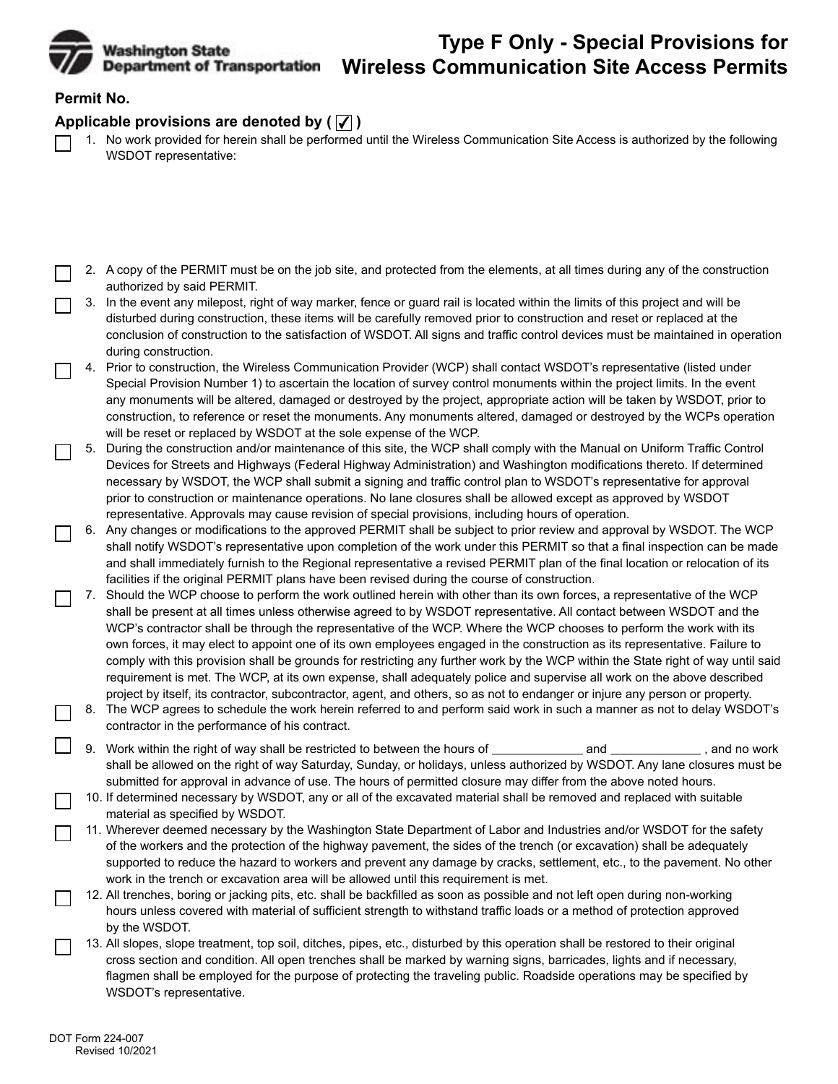

## **Type F Only - Special Provisions for Wireless Communication Site Access Permits**

## **Permit No.**

## Applicable provisions are denoted by  $(|\mathcal{J}|)$

- 1. No work provided for herein shall be performed until the Wireless Communication Site Access is authorized by the following WSDOT representative:
- 2. A copy of the PERMIT must be on the job site, and protected from the elements, at all times during any of the construction authorized by said PERMIT.
- 3. In the event any milepost, right of way marker, fence or guard rail is located within the limits of this project and will be disturbed during construction, these items will be carefully removed prior to construction and reset or replaced at the conclusion of construction to the satisfaction of WSDOT. All signs and traffic control devices must be maintained in operation during construction.
- 4. Prior to construction, the Wireless Communication Provider (WCP) shall contact WSDOT's representative (listed under Special Provision Number 1) to ascertain the location of survey control monuments within the project limits. In the event any monuments will be altered, damaged or destroyed by the project, appropriate action will be taken by WSDOT, prior to construction, to reference or reset the monuments. Any monuments altered, damaged or destroyed by the WCPs operation will be reset or replaced by WSDOT at the sole expense of the WCP.
- 5. During the construction and/or maintenance of this site, the WCP shall comply with the Manual on Uniform Traffic Control Devices for Streets and Highways (Federal Highway Administration) and Washington modifications thereto. If determined necessary by WSDOT, the WCP shall submit a signing and traffic control plan to WSDOT's representative for approval prior to construction or maintenance operations. No lane closures shall be allowed except as approved by WSDOT representative. Approvals may cause revision of special provisions, including hours of operation.
- 6. Any changes or modifications to the approved PERMIT shall be subject to prior review and approval by WSDOT. The WCP shall notify WSDOT's representative upon completion of the work under this PERMIT so that a final inspection can be made and shall immediately furnish to the Regional representative a revised PERMIT plan of the final location or relocation of its facilities if the original PERMIT plans have been revised during the course of construction.
- 7. Should the WCP choose to perform the work outlined herein with other than its own forces, a representative of the WCP shall be present at all times unless otherwise agreed to by WSDOT representative. All contact between WSDOT and the WCP's contractor shall be through the representative of the WCP. Where the WCP chooses to perform the work with its own forces, it may elect to appoint one of its own employees engaged in the construction as its representative. Failure to comply with this provision shall be grounds for restricting any further work by the WCP within the State right of way until said requirement is met. The WCP, at its own expense, shall adequately police and supervise all work on the above described project by itself, its contractor, subcontractor, agent, and others, so as not to endanger or injure any person or property.
- 8. The WCP agrees to schedule the work herein referred to and perform said work in such a manner as not to delay WSDOT's contractor in the performance of his contract.
- 9. Work within the right of way shall be restricted to between the hours of **construently** and **no work** , and no work shall be allowed on the right of way Saturday, Sunday, or holidays, unless authorized by WSDOT. Any lane closures must be submitted for approval in advance of use. The hours of permitted closure may differ from the above noted hours.
- 10. If determined necessary by WSDOT, any or all of the excavated material shall be removed and replaced with suitable material as specified by WSDOT.
- 11. Wherever deemed necessary by the Washington State Department of Labor and Industries and/or WSDOT for the safety of the workers and the protection of the highway pavement, the sides of the trench (or excavation) shall be adequately supported to reduce the hazard to workers and prevent any damage by cracks, settlement, etc., to the pavement. No other work in the trench or excavation area will be allowed until this requirement is met.
- by the WSDOT. 12. All trenches, boring or jacking pits, etc. shall be backfilled as soon as possible and not left open during non-working hours unless covered with material of sufficient strength to withstand traffic loads or a method of protection approved
- 13. All slopes, slope treatment, top soil, ditches, pipes, etc., disturbed by this operation shall be restored to their original cross section and condition. All open trenches shall be marked by warning signs, barricades, lights and if necessary, flagmen shall be employed for the purpose of protecting the traveling public. Roadside operations may be specified by WSDOT's representative.